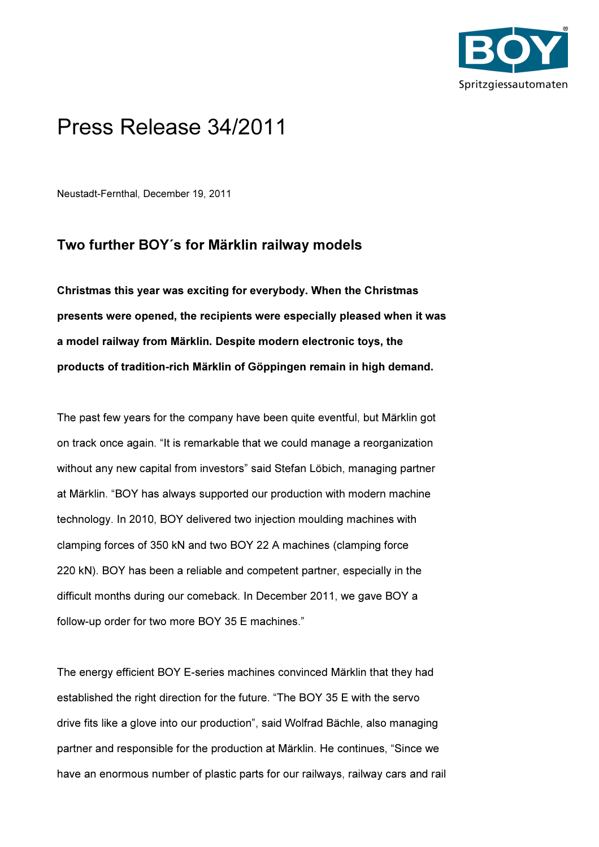

## Press Release 34/2011

Neustadt-Fernthal, December 19, 2011

## Two further BOY´s for Märklin railway models

Christmas this year was exciting for everybody. When the Christmas presents were opened, the recipients were especially pleased when it was a model railway from Märklin. Despite modern electronic toys, the products of tradition-rich Märklin of Göppingen remain in high demand.

The past few years for the company have been quite eventful, but Märklin got on track once again. "It is remarkable that we could manage a reorganization without any new capital from investors" said Stefan Löbich, managing partner at Märklin. "BOY has always supported our production with modern machine technology. In 2010, BOY delivered two injection moulding machines with clamping forces of 350 kN and two BOY 22 A machines (clamping force 220 kN). BOY has been a reliable and competent partner, especially in the difficult months during our comeback. In December 2011, we gave BOY a follow-up order for two more BOY 35 E machines."

The energy efficient BOY E-series machines convinced Märklin that they had established the right direction for the future. "The BOY 35 E with the servo drive fits like a glove into our production", said Wolfrad Bächle, also managing partner and responsible for the production at Märklin. He continues, "Since we have an enormous number of plastic parts for our railways, railway cars and rail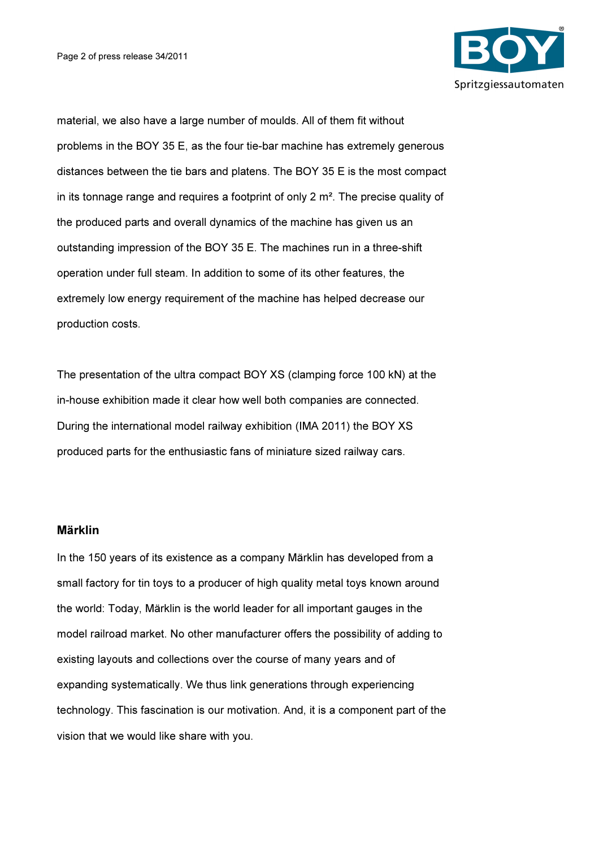

material, we also have a large number of moulds. All of them fit without problems in the BOY 35 E, as the four tie-bar machine has extremely generous distances between the tie bars and platens. The BOY 35 E is the most compact in its tonnage range and requires a footprint of only 2 m². The precise quality of the produced parts and overall dynamics of the machine has given us an outstanding impression of the BOY 35 E. The machines run in a three-shift operation under full steam. In addition to some of its other features, the extremely low energy requirement of the machine has helped decrease our production costs.

The presentation of the ultra compact BOY XS (clamping force 100 kN) at the in-house exhibition made it clear how well both companies are connected. During the international model railway exhibition (IMA 2011) the BOY XS produced parts for the enthusiastic fans of miniature sized railway cars.

## Märklin

In the 150 years of its existence as a company Märklin has developed from a small factory for tin toys to a producer of high quality metal toys known around the world: Today, Märklin is the world leader for all important gauges in the model railroad market. No other manufacturer offers the possibility of adding to existing layouts and collections over the course of many years and of expanding systematically. We thus link generations through experiencing technology. This fascination is our motivation. And, it is a component part of the vision that we would like share with you.